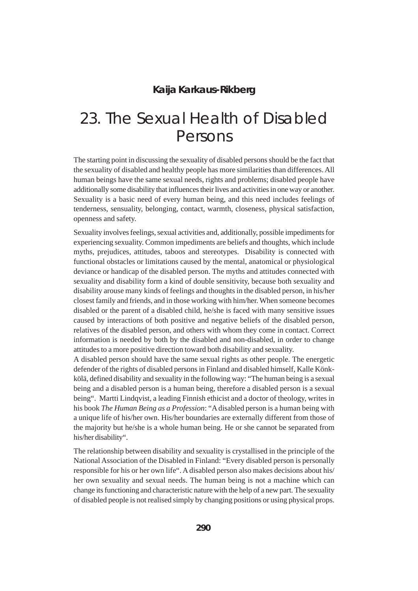### **Kaija Karkaus-Rikberg**

# 23. The Sexual Health of Disabled Persons

The starting point in discussing the sexuality of disabled persons should be the fact that the sexuality of disabled and healthy people has more similarities than differences. All human beings have the same sexual needs, rights and problems; disabled people have additionally some disability that influences their lives and activities in one way or another. Sexuality is a basic need of every human being, and this need includes feelings of tenderness, sensuality, belonging, contact, warmth, closeness, physical satisfaction, openness and safety.

Sexuality involves feelings, sexual activities and, additionally, possible impediments for experiencing sexuality. Common impediments are beliefs and thoughts, which include myths, prejudices, attitudes, taboos and stereotypes. Disability is connected with functional obstacles or limitations caused by the mental, anatomical or physiological deviance or handicap of the disabled person. The myths and attitudes connected with sexuality and disability form a kind of double sensitivity, because both sexuality and disability arouse many kinds of feelings and thoughts in the disabled person, in his/her closest family and friends, and in those working with him/her. When someone becomes disabled or the parent of a disabled child, he/she is faced with many sensitive issues caused by interactions of both positive and negative beliefs of the disabled person, relatives of the disabled person, and others with whom they come in contact. Correct information is needed by both by the disabled and non-disabled, in order to change attitudes to a more positive direction toward both disability and sexuality.

A disabled person should have the same sexual rights as other people. The energetic defender of the rights of disabled persons in Finland and disabled himself, Kalle Könkkölä, defined disability and sexuality in the following way: "The human being is a sexual being and a disabled person is a human being, therefore a disabled person is a sexual being". Martti Lindqvist, a leading Finnish ethicist and a doctor of theology, writes in his book *The Human Being as a Profession*: "A disabled person is a human being with a unique life of his/her own. His/her boundaries are externally different from those of the majority but he/she is a whole human being. He or she cannot be separated from his/her disability".

The relationship between disability and sexuality is crystallised in the principle of the National Association of the Disabled in Finland: "Every disabled person is personally responsible for his or her own life". A disabled person also makes decisions about his/ her own sexuality and sexual needs. The human being is not a machine which can change its functioning and characteristic nature with the help of a new part. The sexuality of disabled people is not realised simply by changing positions or using physical props.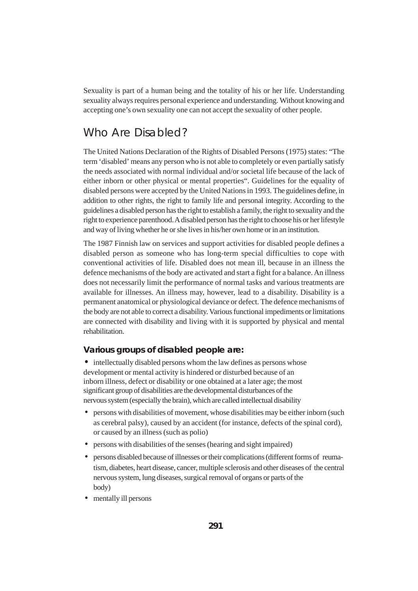Sexuality is part of a human being and the totality of his or her life. Understanding sexuality always requires personal experience and understanding. Without knowing and accepting one's own sexuality one can not accept the sexuality of other people.

### Who Are Disabled?

The United Nations Declaration of the Rights of Disabled Persons (1975) states: "The term 'disabled' means any person who is not able to completely or even partially satisfy the needs associated with normal individual and/or societal life because of the lack of either inborn or other physical or mental properties". Guidelines for the equality of disabled persons were accepted by the United Nations in 1993. The guidelines define, in addition to other rights, the right to family life and personal integrity. According to the guidelines a disabled person has the right to establish a family, the right to sexuality and the right to experience parenthood. A disabled person has the right to choose his or her lifestyle and way of living whether he or she lives in his/her own home or in an institution.

The 1987 Finnish law on services and support activities for disabled people defines a disabled person as someone who has long-term special difficulties to cope with conventional activities of life. Disabled does not mean ill, because in an illness the defence mechanisms of the body are activated and start a fight for a balance. An illness does not necessarily limit the performance of normal tasks and various treatments are available for illnesses. An illness may, however, lead to a disability. Disability is a permanent anatomical or physiological deviance or defect. The defence mechanisms of the body are not able to correct a disability. Various functional impediments or limitations are connected with disability and living with it is supported by physical and mental rehabilitation.

#### **Various groups of disabled people are:**

• intellectually disabled persons whom the law defines as persons whose development or mental activity is hindered or disturbed because of an inborn illness, defect or disability or one obtained at a later age; the most significant group of disabilities are the developmental disturbances of the nervous system (especially the brain), which are called intellectual disability

- persons with disabilities of movement, whose disabilities may be either inborn (such as cerebral palsy), caused by an accident (for instance, defects of the spinal cord), or caused by an illness (such as polio)
- persons with disabilities of the senses (hearing and sight impaired)
- persons disabled because of illnesses or their complications (different forms of reumatism, diabetes, heart disease, cancer, multiple sclerosis and other diseases of the central nervous system, lung diseases, surgical removal of organs or parts of the body)
- mentally ill persons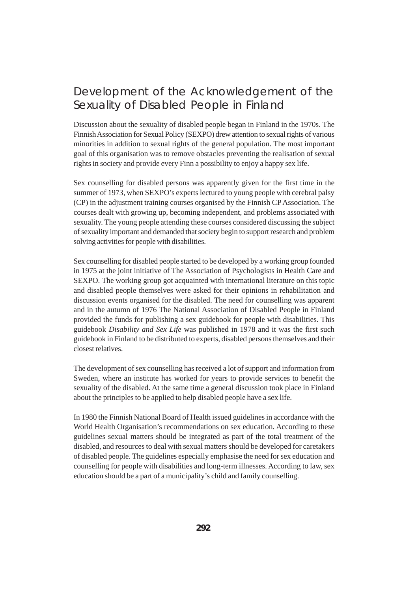### Development of the Acknowledgement of the Sexuality of Disabled People in Finland

Discussion about the sexuality of disabled people began in Finland in the 1970s. The Finnish Association for Sexual Policy (SEXPO) drew attention to sexual rights of various minorities in addition to sexual rights of the general population. The most important goal of this organisation was to remove obstacles preventing the realisation of sexual rights in society and provide every Finn a possibility to enjoy a happy sex life.

Sex counselling for disabled persons was apparently given for the first time in the summer of 1973, when SEXPO's experts lectured to young people with cerebral palsy (CP) in the adjustment training courses organised by the Finnish CP Association. The courses dealt with growing up, becoming independent, and problems associated with sexuality. The young people attending these courses considered discussing the subject of sexuality important and demanded that society begin to support research and problem solving activities for people with disabilities.

Sex counselling for disabled people started to be developed by a working group founded in 1975 at the joint initiative of The Association of Psychologists in Health Care and SEXPO. The working group got acquainted with international literature on this topic and disabled people themselves were asked for their opinions in rehabilitation and discussion events organised for the disabled. The need for counselling was apparent and in the autumn of 1976 The National Association of Disabled People in Finland provided the funds for publishing a sex guidebook for people with disabilities. This guidebook *Disability and Sex Life* was published in 1978 and it was the first such guidebook in Finland to be distributed to experts, disabled persons themselves and their closest relatives.

The development of sex counselling has received a lot of support and information from Sweden, where an institute has worked for years to provide services to benefit the sexuality of the disabled. At the same time a general discussion took place in Finland about the principles to be applied to help disabled people have a sex life.

In 1980 the Finnish National Board of Health issued guidelines in accordance with the World Health Organisation's recommendations on sex education. According to these guidelines sexual matters should be integrated as part of the total treatment of the disabled, and resources to deal with sexual matters should be developed for caretakers of disabled people. The guidelines especially emphasise the need for sex education and counselling for people with disabilities and long-term illnesses. According to law, sex education should be a part of a municipality's child and family counselling.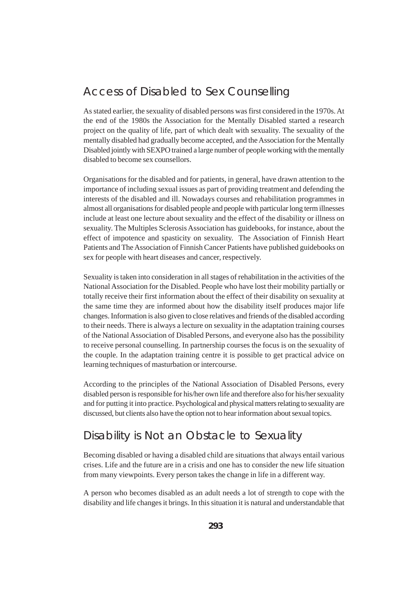### Access of Disabled to Sex Counselling

As stated earlier, the sexuality of disabled persons was first considered in the 1970s. At the end of the 1980s the Association for the Mentally Disabled started a research project on the quality of life, part of which dealt with sexuality. The sexuality of the mentally disabled had gradually become accepted, and the Association for the Mentally Disabled jointly with SEXPO trained a large number of people working with the mentally disabled to become sex counsellors.

Organisations for the disabled and for patients, in general, have drawn attention to the importance of including sexual issues as part of providing treatment and defending the interests of the disabled and ill. Nowadays courses and rehabilitation programmes in almost all organisations for disabled people and people with particular long term illnesses include at least one lecture about sexuality and the effect of the disability or illness on sexuality. The Multiples Sclerosis Association has guidebooks, for instance, about the effect of impotence and spasticity on sexuality. The Association of Finnish Heart Patients and The Association of Finnish Cancer Patients have published guidebooks on sex for people with heart diseases and cancer, respectively.

Sexuality is taken into consideration in all stages of rehabilitation in the activities of the National Association for the Disabled. People who have lost their mobility partially or totally receive their first information about the effect of their disability on sexuality at the same time they are informed about how the disability itself produces major life changes. Information is also given to close relatives and friends of the disabled according to their needs. There is always a lecture on sexuality in the adaptation training courses of the National Association of Disabled Persons, and everyone also has the possibility to receive personal counselling. In partnership courses the focus is on the sexuality of the couple. In the adaptation training centre it is possible to get practical advice on learning techniques of masturbation or intercourse.

According to the principles of the National Association of Disabled Persons, every disabled person is responsible for his/her own life and therefore also for his/her sexuality and for putting it into practice. Psychological and physical matters relating to sexuality are discussed, but clients also have the option not to hear information about sexual topics.

### Disability is Not an Obstacle to Sexuality

Becoming disabled or having a disabled child are situations that always entail various crises. Life and the future are in a crisis and one has to consider the new life situation from many viewpoints. Every person takes the change in life in a different way.

A person who becomes disabled as an adult needs a lot of strength to cope with the disability and life changes it brings. In this situation it is natural and understandable that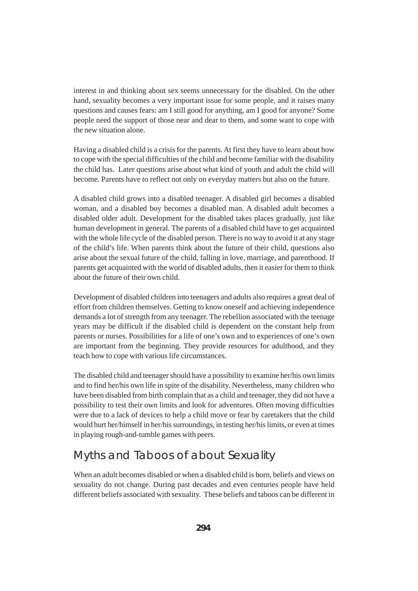interest in and thinking about sex seems unnecessary for the disabled. On the other hand, sexuality becomes a very important issue for some people, and it raises many questions and causes fears: am I still good for anything, am I good for anyone? Some people need the support of those near and dear to them, and some want to cope with the new situation alone.

Having a disabled child is a crisis for the parents. At first they have to learn about how to cope with the special difficulties of the child and become familiar with the disability the child has. Later questions arise about what kind of youth and adult the child will become. Parents have to reflect not only on everyday matters but also on the future.

A disabled child grows into a disabled teenager. A disabled girl becomes a disabled woman, and a disabled boy becomes a disabled man. A disabled adult becomes a disabled older adult. Development for the disabled takes places gradually, just like human development in general. The parents of a disabled child have to get acquainted with the whole life cycle of the disabled person. There is no way to avoid it at any stage of the child's life. When parents think about the future of their child, questions also arise about the sexual future of the child, falling in love, marriage, and parenthood. If parents get acquainted with the world of disabled adults, then it easier for them to think about the future of their own child.

Development of disabled children into teenagers and adults also requires a great deal of effort from children themselves. Getting to know oneself and achieving independence demands a lot of strength from any teenager. The rebellion associated with the teenage years may be difficult if the disabled child is dependent on the constant help from parents or nurses. Possibilities for a life of one's own and to experiences of one's own are important from the beginning. They provide resources for adulthood, and they teach how to cope with various life circumstances.

The disabled child and teenager should have a possibility to examine her/his own limits and to find her/his own life in spite of the disability. Nevertheless, many children who have been disabled from birth complain that as a child and teenager, they did not have a possibility to test their own limits and look for adventures. Often moving difficulties were due to a lack of devices to help a child move or fear by caretakers that the child would hurt her/himself in her/his surroundings, in testing her/his limits, or even at times in playing rough-and-tumble games with peers.

### Myths and Taboos of about Sexuality

When an adult becomes disabled or when a disabled child is born, beliefs and views on sexuality do not change. During past decades and even centuries people have held different beliefs associated with sexuality. These beliefs and taboos can be different in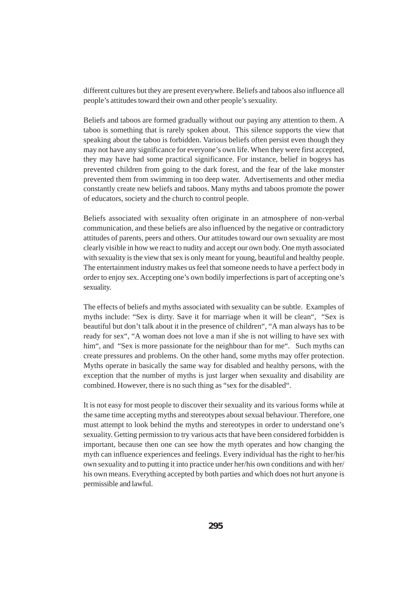different cultures but they are present everywhere. Beliefs and taboos also influence all people's attitudes toward their own and other people's sexuality.

Beliefs and taboos are formed gradually without our paying any attention to them. A taboo is something that is rarely spoken about. This silence supports the view that speaking about the taboo is forbidden. Various beliefs often persist even though they may not have any significance for everyone's own life. When they were first accepted, they may have had some practical significance. For instance, belief in bogeys has prevented children from going to the dark forest, and the fear of the lake monster prevented them from swimming in too deep water. Advertisements and other media constantly create new beliefs and taboos. Many myths and taboos promote the power of educators, society and the church to control people.

Beliefs associated with sexuality often originate in an atmosphere of non-verbal communication, and these beliefs are also influenced by the negative or contradictory attitudes of parents, peers and others. Our attitudes toward our own sexuality are most clearly visible in how we react to nudity and accept our own body. One myth associated with sexuality is the view that sex is only meant for young, beautiful and healthy people. The entertainment industry makes us feel that someone needs to have a perfect body in order to enjoy sex. Accepting one's own bodily imperfections is part of accepting one's sexuality.

The effects of beliefs and myths associated with sexuality can be subtle. Examples of myths include: "Sex is dirty. Save it for marriage when it will be clean", "Sex is beautiful but don't talk about it in the presence of children", "A man always has to be ready for sex", "A woman does not love a man if she is not willing to have sex with him", and "Sex is more passionate for the neighbour than for me". Such myths can create pressures and problems. On the other hand, some myths may offer protection. Myths operate in basically the same way for disabled and healthy persons, with the exception that the number of myths is just larger when sexuality and disability are combined. However, there is no such thing as "sex for the disabled".

It is not easy for most people to discover their sexuality and its various forms while at the same time accepting myths and stereotypes about sexual behaviour. Therefore, one must attempt to look behind the myths and stereotypes in order to understand one's sexuality. Getting permission to try various acts that have been considered forbidden is important, because then one can see how the myth operates and how changing the myth can influence experiences and feelings. Every individual has the right to her/his own sexuality and to putting it into practice under her/his own conditions and with her/ his own means. Everything accepted by both parties and which does not hurt anyone is permissible and lawful.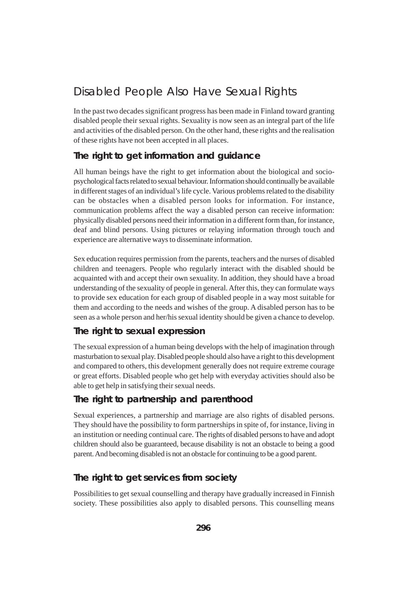### Disabled People Also Have Sexual Rights

In the past two decades significant progress has been made in Finland toward granting disabled people their sexual rights. Sexuality is now seen as an integral part of the life and activities of the disabled person. On the other hand, these rights and the realisation of these rights have not been accepted in all places.

### **The right to get information and guidance**

All human beings have the right to get information about the biological and sociopsychological facts related to sexual behaviour. Information should continually be available in different stages of an individual's life cycle. Various problems related to the disability can be obstacles when a disabled person looks for information. For instance, communication problems affect the way a disabled person can receive information: physically disabled persons need their information in a different form than, for instance, deaf and blind persons. Using pictures or relaying information through touch and experience are alternative ways to disseminate information.

Sex education requires permission from the parents, teachers and the nurses of disabled children and teenagers. People who regularly interact with the disabled should be acquainted with and accept their own sexuality. In addition, they should have a broad understanding of the sexuality of people in general. After this, they can formulate ways to provide sex education for each group of disabled people in a way most suitable for them and according to the needs and wishes of the group. A disabled person has to be seen as a whole person and her/his sexual identity should be given a chance to develop.

### **The right to sexual expression**

The sexual expression of a human being develops with the help of imagination through masturbation to sexual play. Disabled people should also have a right to this development and compared to others, this development generally does not require extreme courage or great efforts. Disabled people who get help with everyday activities should also be able to get help in satisfying their sexual needs.

### **The right to partnership and parenthood**

Sexual experiences, a partnership and marriage are also rights of disabled persons. They should have the possibility to form partnerships in spite of, for instance, living in an institution or needing continual care. The rights of disabled persons to have and adopt children should also be guaranteed, because disability is not an obstacle to being a good parent. And becoming disabled is not an obstacle for continuing to be a good parent.

#### **The right to get services from society**

Possibilities to get sexual counselling and therapy have gradually increased in Finnish society. These possibilities also apply to disabled persons. This counselling means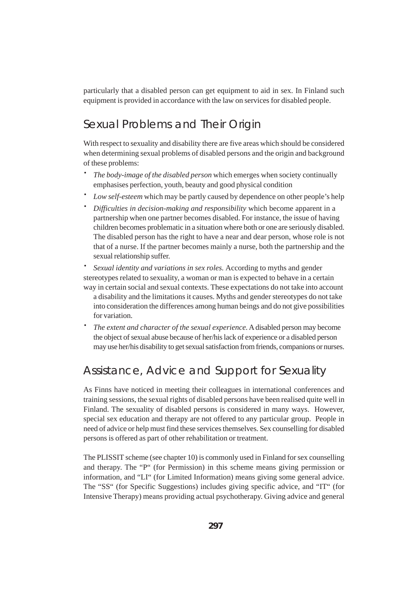particularly that a disabled person can get equipment to aid in sex. In Finland such equipment is provided in accordance with the law on services for disabled people.

### Sexual Problems and Their Origin

With respect to sexuality and disability there are five areas which should be considered when determining sexual problems of disabled persons and the origin and background of these problems:

- · *The body-image of the disabled person* which emerges when society continually emphasises perfection, youth, beauty and good physical condition
- · *Low self-esteem* which may be partly caused by dependence on other people's help
- · *Difficulties in decision-making and responsibility* which become apparent in a partnership when one partner becomes disabled. For instance, the issue of having children becomes problematic in a situation where both or one are seriously disabled. The disabled person has the right to have a near and dear person, whose role is not that of a nurse. If the partner becomes mainly a nurse, both the partnership and the sexual relationship suffer.

· *Sexual identity and variations in sex roles.* According to myths and gender stereotypes related to sexuality, a woman or man is expected to behave in a certain way in certain social and sexual contexts. These expectations do not take into account a disability and the limitations it causes. Myths and gender stereotypes do not take

- into consideration the differences among human beings and do not give possibilities for variation.
- The extent and character of the sexual experience. A disabled person may become the object of sexual abuse because of her/his lack of experience or a disabled person may use her/his disability to get sexual satisfaction from friends, companions or nurses.

### Assistance, Advice and Support for Sexuality

As Finns have noticed in meeting their colleagues in international conferences and training sessions, the sexual rights of disabled persons have been realised quite well in Finland. The sexuality of disabled persons is considered in many ways. However, special sex education and therapy are not offered to any particular group. People in need of advice or help must find these services themselves. Sex counselling for disabled persons is offered as part of other rehabilitation or treatment.

The PLISSIT scheme (see chapter 10) is commonly used in Finland for sex counselling and therapy. The "P" (for Permission) in this scheme means giving permission or information, and "LI" (for Limited Information) means giving some general advice. The "SS" (for Specific Suggestions) includes giving specific advice, and "IT" (for Intensive Therapy) means providing actual psychotherapy. Giving advice and general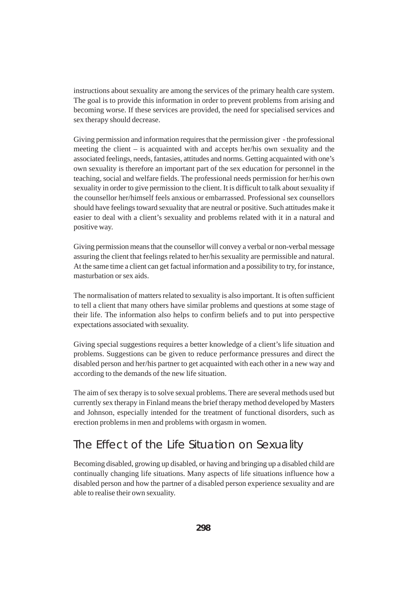instructions about sexuality are among the services of the primary health care system. The goal is to provide this information in order to prevent problems from arising and becoming worse. If these services are provided, the need for specialised services and sex therapy should decrease.

Giving permission and information requires that the permission giver - the professional meeting the client – is acquainted with and accepts her/his own sexuality and the associated feelings, needs, fantasies, attitudes and norms. Getting acquainted with one's own sexuality is therefore an important part of the sex education for personnel in the teaching, social and welfare fields. The professional needs permission for her/his own sexuality in order to give permission to the client. It is difficult to talk about sexuality if the counsellor her/himself feels anxious or embarrassed. Professional sex counsellors should have feelings toward sexuality that are neutral or positive. Such attitudes make it easier to deal with a client's sexuality and problems related with it in a natural and positive way.

Giving permission means that the counsellor will convey a verbal or non-verbal message assuring the client that feelings related to her/his sexuality are permissible and natural. At the same time a client can get factual information and a possibility to try, for instance, masturbation or sex aids.

The normalisation of matters related to sexuality is also important. It is often sufficient to tell a client that many others have similar problems and questions at some stage of their life. The information also helps to confirm beliefs and to put into perspective expectations associated with sexuality.

Giving special suggestions requires a better knowledge of a client's life situation and problems. Suggestions can be given to reduce performance pressures and direct the disabled person and her/his partner to get acquainted with each other in a new way and according to the demands of the new life situation.

The aim of sex therapy is to solve sexual problems. There are several methods used but currently sex therapy in Finland means the brief therapy method developed by Masters and Johnson, especially intended for the treatment of functional disorders, such as erection problems in men and problems with orgasm in women.

### The Effect of the Life Situation on Sexuality

Becoming disabled, growing up disabled, or having and bringing up a disabled child are continually changing life situations. Many aspects of life situations influence how a disabled person and how the partner of a disabled person experience sexuality and are able to realise their own sexuality.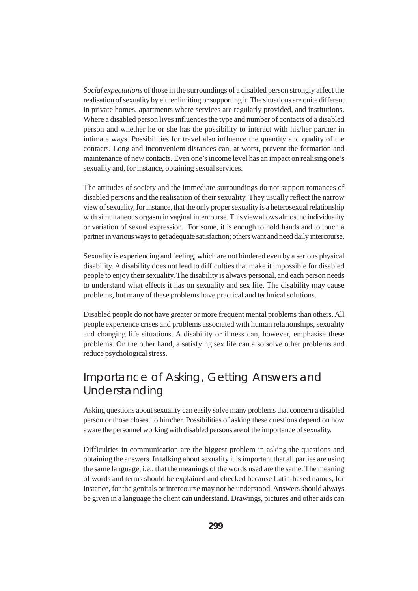*Social expectations* of those in the surroundings of a disabled person strongly affect the realisation of sexuality by either limiting or supporting it. The situations are quite different in private homes, apartments where services are regularly provided, and institutions. Where a disabled person lives influences the type and number of contacts of a disabled person and whether he or she has the possibility to interact with his/her partner in intimate ways. Possibilities for travel also influence the quantity and quality of the contacts. Long and inconvenient distances can, at worst, prevent the formation and maintenance of new contacts. Even one's income level has an impact on realising one's sexuality and, for instance, obtaining sexual services.

The attitudes of society and the immediate surroundings do not support romances of disabled persons and the realisation of their sexuality. They usually reflect the narrow view of sexuality, for instance, that the only proper sexuality is a heterosexual relationship with simultaneous orgasm in vaginal intercourse. This view allows almost no individuality or variation of sexual expression. For some, it is enough to hold hands and to touch a partner in various ways to get adequate satisfaction; others want and need daily intercourse.

Sexuality is experiencing and feeling, which are not hindered even by a serious physical disability. A disability does not lead to difficulties that make it impossible for disabled people to enjoy their sexuality. The disability is always personal, and each person needs to understand what effects it has on sexuality and sex life. The disability may cause problems, but many of these problems have practical and technical solutions.

Disabled people do not have greater or more frequent mental problems than others. All people experience crises and problems associated with human relationships, sexuality and changing life situations. A disability or illness can, however, emphasise these problems. On the other hand, a satisfying sex life can also solve other problems and reduce psychological stress.

# Importance of Asking, Getting Answers and Understanding

Asking questions about sexuality can easily solve many problems that concern a disabled person or those closest to him/her. Possibilities of asking these questions depend on how aware the personnel working with disabled persons are of the importance of sexuality.

Difficulties in communication are the biggest problem in asking the questions and obtaining the answers. In talking about sexuality it is important that all parties are using the same language, i.e., that the meanings of the words used are the same. The meaning of words and terms should be explained and checked because Latin-based names, for instance, for the genitals or intercourse may not be understood. Answers should always be given in a language the client can understand. Drawings, pictures and other aids can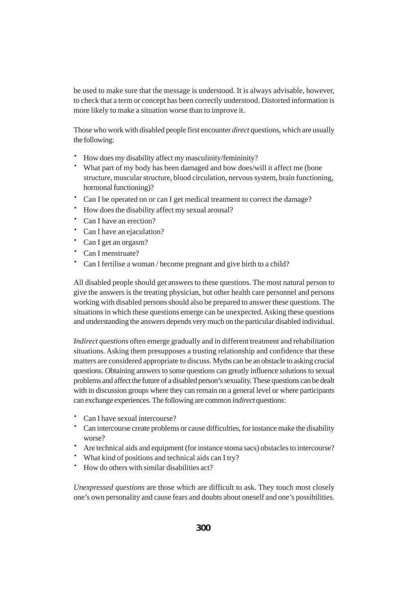be used to make sure that the message is understood. It is always advisable, however, to check that a term or concept has been correctly understood. Distorted information is more likely to make a situation worse than to improve it.

Those who work with disabled people first encounter *direct* questions, which are usually the following:

- · How does my disability affect my masculinity/femininity?
- · What part of my body has been damaged and how does/will it affect me (bone structure, muscular structure, blood circulation, nervous system, brain functioning, hormonal functioning)?
- · Can I be operated on or can I get medical treatment to correct the damage?
- · How does the disability affect my sexual arousal?
- · Can I have an erection?
- · Can I have an ejaculation?
- · Can I get an orgasm?
- · Can I menstruate?
- · Can I fertilise a woman / become pregnant and give birth to a child?

All disabled people should get answers to these questions. The most natural person to give the answers is the treating physician, but other health care personnel and persons working with disabled persons should also be prepared to answer these questions. The situations in which these questions emerge can be unexpected. Asking these questions and understanding the answers depends very much on the particular disabled individual.

*Indirect questions* often emerge gradually and in different treatment and rehabilitation situations. Asking them presupposes a trusting relationship and confidence that these matters are considered appropriate to discuss. Myths can be an obstacle to asking crucial questions. Obtaining answers to some questions can greatly influence solutions to sexual problems and affect the future of a disabled person's sexuality. These questions can be dealt with in discussion groups where they can remain on a general level or where participants can exchange experiences. The following are common *indirect* questions:

- · Can I have sexual intercourse?
- · Can intercourse create problems or cause difficulties, for instance make the disability worse?
- · Are technical aids and equipment (for instance stoma sacs) obstacles to intercourse?
- · What kind of positions and technical aids can I try?
- · How do others with similar disabilities act?

*Unexpressed questions* are those which are difficult to ask. They touch most closely one's own personality and cause fears and doubts about oneself and one's possibilities.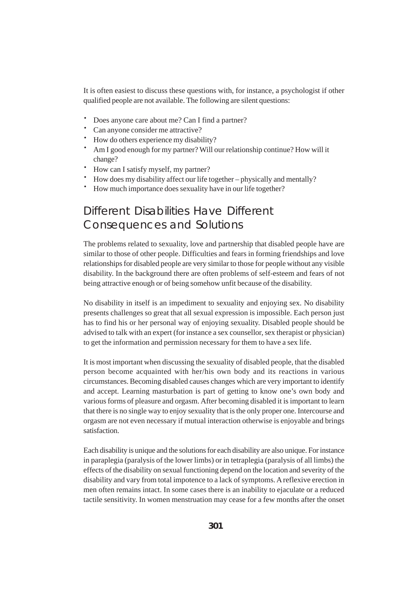It is often easiest to discuss these questions with, for instance, a psychologist if other qualified people are not available. The following are silent questions:

- · Does anyone care about me? Can I find a partner?
- · Can anyone consider me attractive?
- · How do others experience my disability?
- · Am I good enough for my partner? Will our relationship continue? How will it change?
- · How can I satisfy myself, my partner?
- · How does my disability affect our life together physically and mentally?
- How much importance does sexuality have in our life together?

# Different Disabilities Have Different Consequences and Solutions

The problems related to sexuality, love and partnership that disabled people have are similar to those of other people. Difficulties and fears in forming friendships and love relationships for disabled people are very similar to those for people without any visible disability. In the background there are often problems of self-esteem and fears of not being attractive enough or of being somehow unfit because of the disability.

No disability in itself is an impediment to sexuality and enjoying sex. No disability presents challenges so great that all sexual expression is impossible. Each person just has to find his or her personal way of enjoying sexuality. Disabled people should be advised to talk with an expert (for instance a sex counsellor, sex therapist or physician) to get the information and permission necessary for them to have a sex life.

It is most important when discussing the sexuality of disabled people, that the disabled person become acquainted with her/his own body and its reactions in various circumstances. Becoming disabled causes changes which are very important to identify and accept. Learning masturbation is part of getting to know one's own body and various forms of pleasure and orgasm. After becoming disabled it is important to learn that there is no single way to enjoy sexuality that is the only proper one. Intercourse and orgasm are not even necessary if mutual interaction otherwise is enjoyable and brings satisfaction.

Each disability is unique and the solutions for each disability are also unique. For instance in paraplegia (paralysis of the lower limbs) or in tetraplegia (paralysis of all limbs) the effects of the disability on sexual functioning depend on the location and severity of the disability and vary from total impotence to a lack of symptoms. A reflexive erection in men often remains intact. In some cases there is an inability to ejaculate or a reduced tactile sensitivity. In women menstruation may cease for a few months after the onset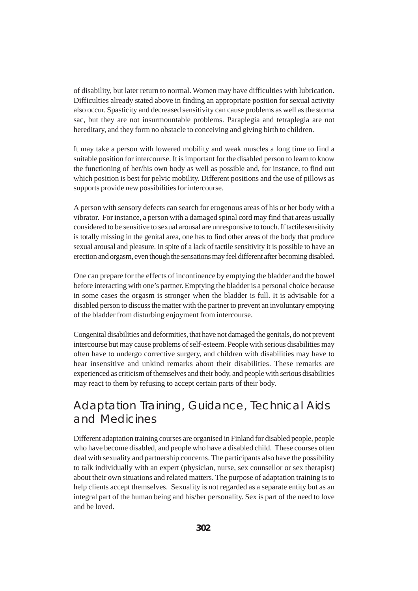of disability, but later return to normal. Women may have difficulties with lubrication. Difficulties already stated above in finding an appropriate position for sexual activity also occur. Spasticity and decreased sensitivity can cause problems as well as the stoma sac, but they are not insurmountable problems. Paraplegia and tetraplegia are not hereditary, and they form no obstacle to conceiving and giving birth to children.

It may take a person with lowered mobility and weak muscles a long time to find a suitable position for intercourse. It is important for the disabled person to learn to know the functioning of her/his own body as well as possible and, for instance, to find out which position is best for pelvic mobility. Different positions and the use of pillows as supports provide new possibilities for intercourse.

A person with sensory defects can search for erogenous areas of his or her body with a vibrator. For instance, a person with a damaged spinal cord may find that areas usually considered to be sensitive to sexual arousal are unresponsive to touch. If tactile sensitivity is totally missing in the genital area, one has to find other areas of the body that produce sexual arousal and pleasure. In spite of a lack of tactile sensitivity it is possible to have an erection and orgasm, even though the sensations may feel different after becoming disabled.

One can prepare for the effects of incontinence by emptying the bladder and the bowel before interacting with one's partner. Emptying the bladder is a personal choice because in some cases the orgasm is stronger when the bladder is full. It is advisable for a disabled person to discuss the matter with the partner to prevent an involuntary emptying of the bladder from disturbing enjoyment from intercourse.

Congenital disabilities and deformities, that have not damaged the genitals, do not prevent intercourse but may cause problems of self-esteem. People with serious disabilities may often have to undergo corrective surgery, and children with disabilities may have to hear insensitive and unkind remarks about their disabilities. These remarks are experienced as criticism of themselves and their body, and people with serious disabilities may react to them by refusing to accept certain parts of their body.

# Adaptation Training, Guidance, Technical Aids and Medicines

Different adaptation training courses are organised in Finland for disabled people, people who have become disabled, and people who have a disabled child. These courses often deal with sexuality and partnership concerns. The participants also have the possibility to talk individually with an expert (physician, nurse, sex counsellor or sex therapist) about their own situations and related matters. The purpose of adaptation training is to help clients accept themselves. Sexuality is not regarded as a separate entity but as an integral part of the human being and his/her personality. Sex is part of the need to love and be loved.